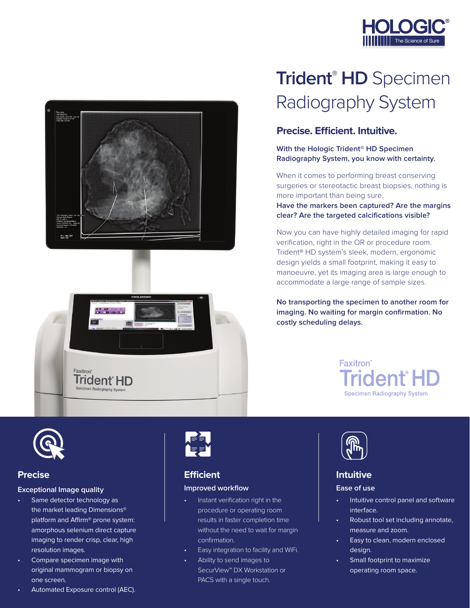



# $0.0016$  $\overline{mn}$ Faxitron<sup>®</sup> Trident<sup>®</sup>HD

## **Trident® HD** Specimen Radiography System

#### **Precise. Efficient. Intuitive.**

**With the Hologic Trident® HD Specimen Radiography System, you know with certainty.**

When it comes to performing breast conserving surgeries or stereotactic breast biopsies, nothing is more important than being sure.

**Have the markers been captured? Are the margins clear? Are the targeted calcifications visible?** 

Now you can have highly detailed imaging for rapid verification, right in the OR or procedure room. Trident**®** HD system's sleek, modern, ergonomic design yields a small footprint, making it easy to manoeuvre, yet its imaging area is large enough to accommodate a large range of sample sizes.

**No transporting the specimen to another room for imaging. No waiting for margin confirmation. No costly scheduling delays.**

> Faxitron **Trident HD Specimen Radiography System**



#### **Precise**

#### **Exceptional Image quality**

- Same detector technology as the market leading Dimensions® platform and Affirm® prone system: amorphous selenium direct capture imaging to render crisp, clear, high resolution images.
- Compare specimen image with original mammogram or biopsy on one screen.
- Automated Exposure control (AEC).



#### **Efficient Improved workflow**

- Instant verification right in the procedure or operating room results in faster completion time without the need to wait for margin confirmation.
- Easy integration to facility and WiFi.
- Ability to send images to SecurView**™** DX Workstation or PACS with a single touch.



#### **Intuitive**

#### **Ease of use**

- Intuitive control panel and software interface.
- Robust tool set including annotate, measure and zoom.
- Easy to clean, modern enclosed design.
- Small footprint to maximize operating room space.